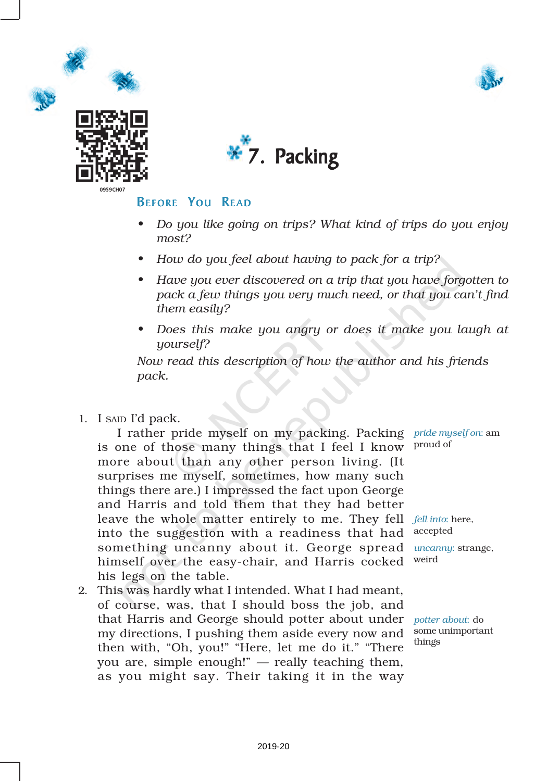







### **BEFORE YOU READ**

- *• Do you like going on trips? What kind of trips do you enjoy most?*
- *• How do you feel about having to pack for a trip?*
- *• Have you ever discovered on a trip that you have forgotten to pack a few things you very much need, or that you can't find them easily?*
- *• Does this make you angry or does it make you laugh at yourself?*

*Now read this description of how the author and his friends pack.*

#### 1. I SAID I'd pack.

I rather pride myself on my packing. Packing *pride myself on*: am is one of those many things that I feel I know  $\,$  <sup>proud of</sup> more about than any other person living. (It surprises me myself, sometimes, how many such things there are.) I impressed the fact upon George and Harris and told them that they had better leave the whole matter entirely to me. They fell *fell into*: here, into the suggestion with a readiness that had accepted something uncanny about it. George spread *uncanny*: strange, himself over the easy-chair, and Harris cocked his legs on the table.

2. This was hardly what I intended. What I had meant, of course, was, that I should boss the job, and that Harris and George should potter about under *potter about*: do my directions, I pushing them aside every now and some unimportant then with, "Oh, you!" "Here, let me do it." "There you are, simple enough!" — really teaching them, as you might say. Their taking it in the way

weird

things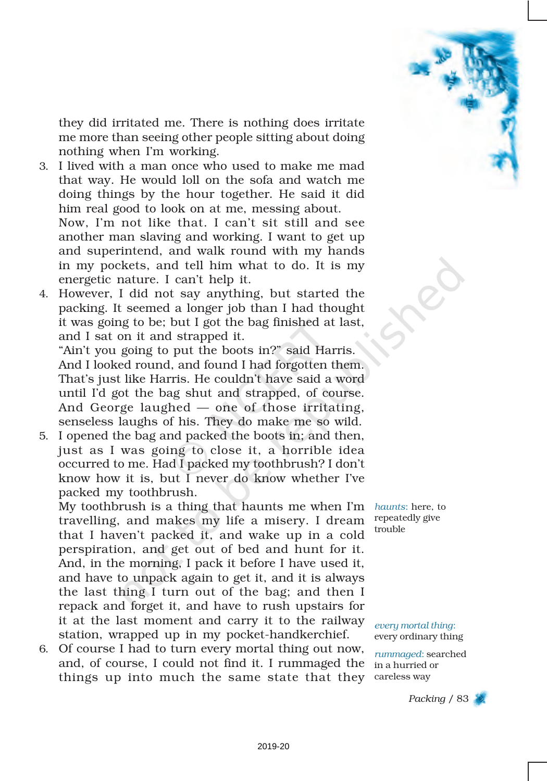

they did irritated me. There is nothing does irritate me more than seeing other people sitting about doing nothing when I'm working.

3. I lived with a man once who used to make me mad that way. He would loll on the sofa and watch me doing things by the hour together. He said it did him real good to look on at me, messing about. Now, I'm not like that. I can't sit still and see another man slaving and working. I want to get up and superintend, and walk round with my hands in my pockets, and tell him what to do. It is my energetic nature. I can't help it.

4. However, I did not say anything, but started the packing. It seemed a longer job than I had thought it was going to be; but I got the bag finished at last, and I sat on it and strapped it.

"Ain't you going to put the boots in?" said Harris. And I looked round, and found I had forgotten them. That's just like Harris. He couldn't have said a word until I'd got the bag shut and strapped, of course. And George laughed — one of those irritating, senseless laughs of his. They do make me so wild.

5. I opened the bag and packed the boots in; and then, just as I was going to close it, a horrible idea occurred to me. Had I packed my toothbrush? I don't know how it is, but I never do know whether I've packed my toothbrush.

My toothbrush is a thing that haunts me when I'm travelling, and makes my life a misery. I dream that I haven't packed it, and wake up in a cold perspiration, and get out of bed and hunt for it. And, in the morning, I pack it before I have used it, and have to unpack again to get it, and it is always the last thing I turn out of the bag; and then I repack and forget it, and have to rush upstairs for it at the last moment and carry it to the railway station, wrapped up in my pocket-handkerchief.

6. Of course I had to turn every mortal thing out now, and, of course, I could not find it. I rummaged the things up into much the same state that they careless way

*haunts*: here, to repeatedly give trouble

*every mortal thing*: every ordinary thing

*rummaged*: searched in a hurried or

*Packing* / 83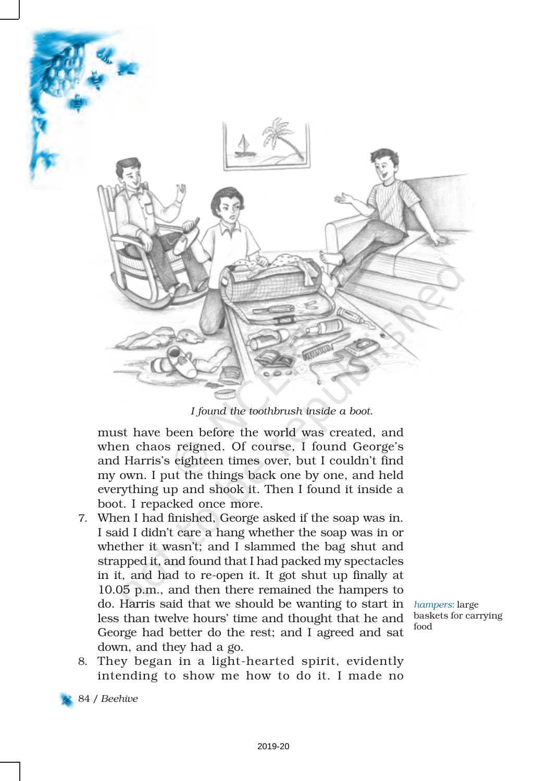

#### *I found the toothbrush inside a boot.*

must have been before the world was created, and when chaos reigned. Of course, I found George's and Harris's eighteen times over, but I couldn't find my own. I put the things back one by one, and held everything up and shook it. Then I found it inside a boot. I repacked once more.

7. When I had finished, George asked if the soap was in. I said I didn't care a hang whether the soap was in or whether it wasn't; and I slammed the bag shut and strapped it, and found that I had packed my spectacles in it, and had to re-open it. It got shut up finally at 10.05 p.m., and then there remained the hampers to do. Harris said that we should be wanting to start in less than twelve hours' time and thought that he and George had better do the rest; and I agreed and sat down, and they had a go.

*hampers*: large baskets for carrying food

8. They began in a light-hearted spirit, evidently intending to show me how to do it. I made no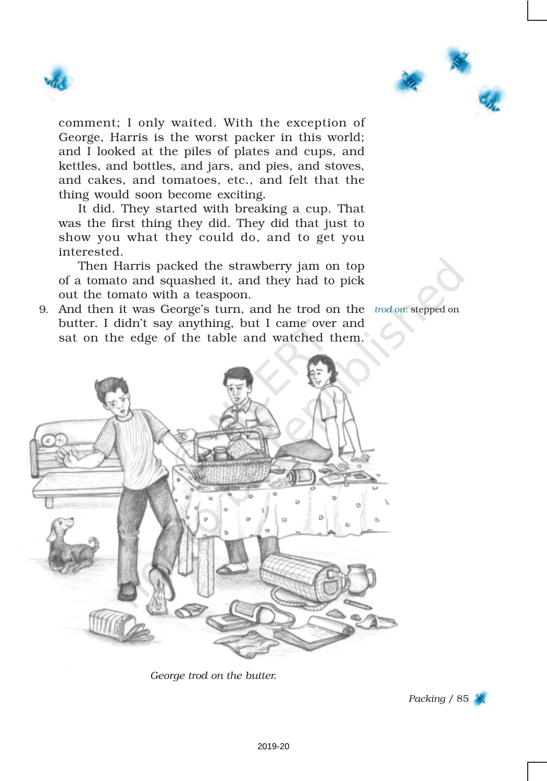



comment; I only waited. With the exception of George, Harris is the worst packer in this world; and I looked at the piles of plates and cups, and kettles, and bottles, and jars, and pies, and stoves, and cakes, and tomatoes, etc., and felt that the thing would soon become exciting.

It did. They started with breaking a cup. That was the first thing they did. They did that just to show you what they could do, and to get you interested.

Then Harris packed the strawberry jam on top of a tomato and squashed it, and they had to pick out the tomato with a teaspoon.

9. And then it was George's turn, and he trod on the *trod on*: stepped on butter. I didn't say anything, but I came over and sat on the edge of the table and watched them.



*George trod on the butter.*

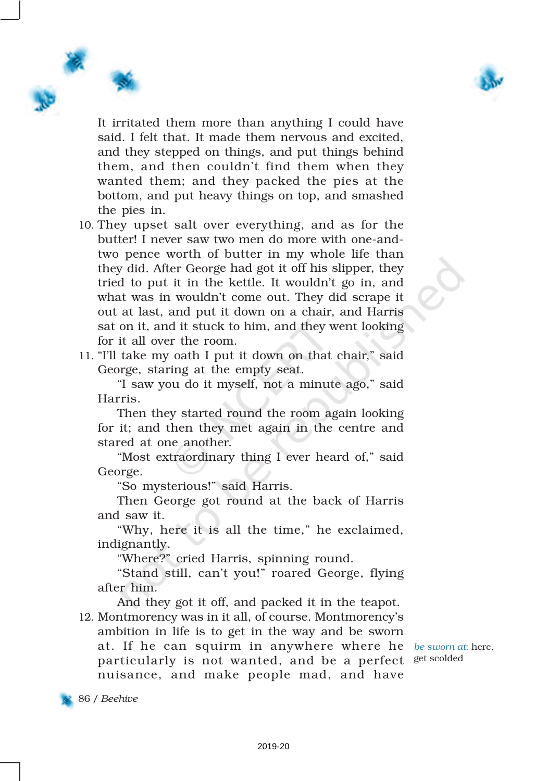

It irritated them more than anything I could have said. I felt that. It made them nervous and excited, and they stepped on things, and put things behind them, and then couldn't find them when they wanted them; and they packed the pies at the bottom, and put heavy things on top, and smashed the pies in.

- 10. They upset salt over everything, and as for the butter! I never saw two men do more with one-andtwo pence worth of butter in my whole life than they did. After George had got it off his slipper, they tried to put it in the kettle. It wouldn't go in, and what was in wouldn't come out. They did scrape it out at last, and put it down on a chair, and Harris sat on it, and it stuck to him, and they went looking for it all over the room.
- 11. "I'll take my oath I put it down on that chair," said George, staring at the empty seat.

"I saw you do it myself, not a minute ago," said Harris.

Then they started round the room again looking for it; and then they met again in the centre and stared at one another.

"Most extraordinary thing I ever heard of," said George.

"So mysterious!" said Harris.

Then George got round at the back of Harris and saw it.

"Why, here it is all the time," he exclaimed, indignantly.

"Where?" cried Harris, spinning round.

"Stand still, can't you!" roared George, flying after him.

And they got it off, and packed it in the teapot.

12. Montmorency was in it all, of course. Montmorency's ambition in life is to get in the way and be sworn at. If he can squirm in anywhere where he *be sworn at*: here, particularly is not wanted, and be a perfect <sup>get scolded</sup> nuisance, and make people mad, and have

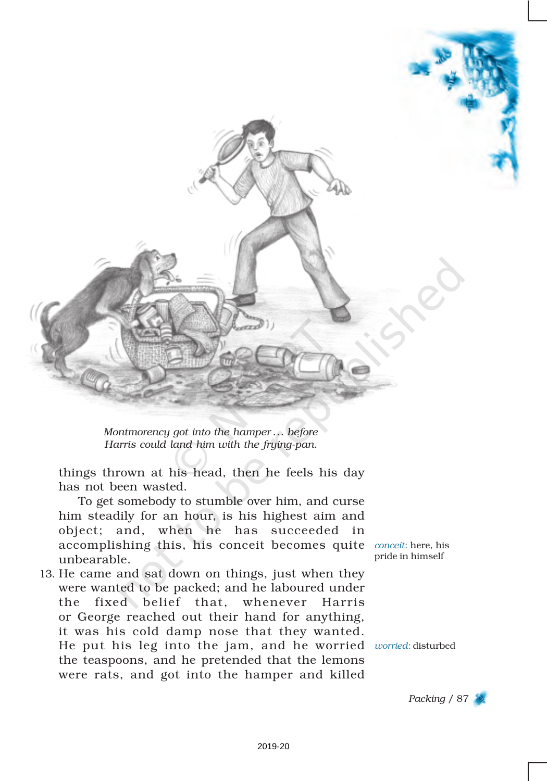

*Montmorency got into the hamper ... before Harris could land him with the frying-pan.*

things thrown at his head, then he feels his day has not been wasted.

To get somebody to stumble over him, and curse him steadily for an hour, is his highest aim and object; and, when he has succeeded in accomplishing this, his conceit becomes quite *conceit*: here, his unbearable.

13. He came and sat down on things, just when they were wanted to be packed; and he laboured under the fixed belief that, whenever Harris or George reached out their hand for anything, it was his cold damp nose that they wanted. He put his leg into the jam, and he worried *worried*: disturbed the teaspoons, and he pretended that the lemons were rats, and got into the hamper and killed

pride in himself

*Packing* / 87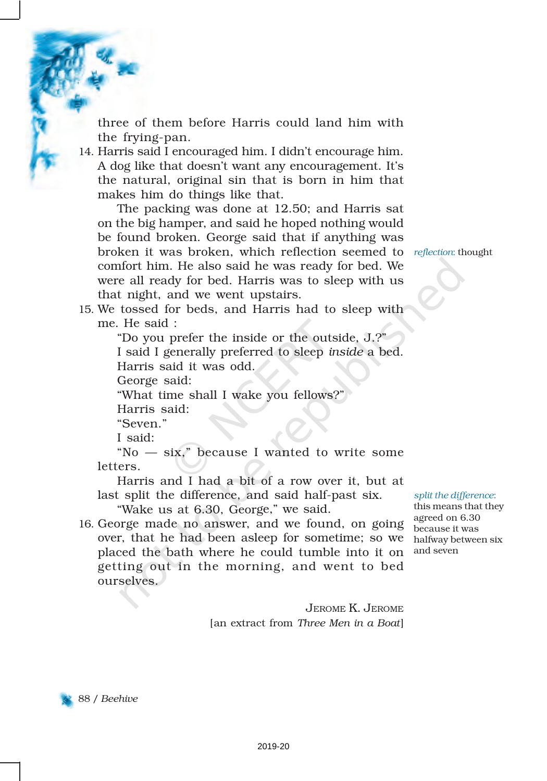three of them before Harris could land him with the frying-pan.

14. Harris said I encouraged him. I didn't encourage him. A dog like that doesn't want any encouragement. It's the natural, original sin that is born in him that makes him do things like that.

The packing was done at 12.50; and Harris sat on the big hamper, and said he hoped nothing would be found broken. George said that if anything was broken it was broken, which reflection seemed to *reflection*: thought comfort him. He also said he was ready for bed. We were all ready for bed. Harris was to sleep with us that night, and we went upstairs.

15. We tossed for beds, and Harris had to sleep with me. He said :

"Do you prefer the inside or the outside, J.?"

I said I generally preferred to sleep *inside* a bed. Harris said it was odd.

George said:

"What time shall I wake you fellows?"

Harris said:

"Seven."

I said:

"No — six," because I wanted to write some letters.

Harris and I had a bit of a row over it, but at last split the difference, and said half-past six.

"Wake us at 6.30, George," we said.

16. George made no answer, and we found, on going over, that he had been asleep for sometime; so we halfway between six placed the bath where he could tumble into it on and seven getting out in the morning, and went to bed ourselves.

*split the difference*:

this means that they agreed on 6.30 because it was

JEROME K. JEROME [an extract from *Three Men in a Boat*]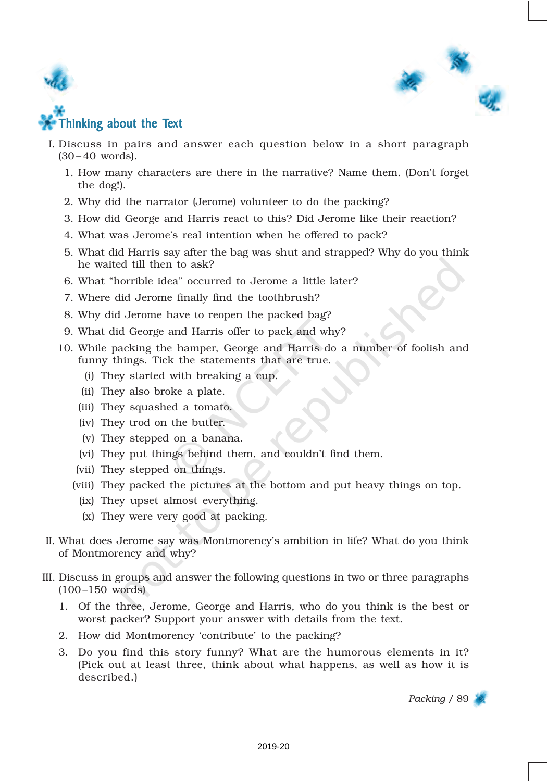



- I. Discuss in pairs and answer each question below in a short paragraph (30 – 40 words).
	- 1. How many characters are there in the narrative? Name them. (Don't forget the dog!).
	- 2. Why did the narrator (Jerome) volunteer to do the packing?
	- 3. How did George and Harris react to this? Did Jerome like their reaction?
	- 4. What was Jerome's real intention when he offered to pack?
	- 5. What did Harris say after the bag was shut and strapped? Why do you think he waited till then to ask?
	- 6. What "horrible idea" occurred to Jerome a little later?
	- 7. Where did Jerome finally find the toothbrush?
	- 8. Why did Jerome have to reopen the packed bag?
	- 9. What did George and Harris offer to pack and why?
	- 10. While packing the hamper, George and Harris do a number of foolish and funny things. Tick the statements that are true.
		- (i) They started with breaking a cup.
		- (ii) They also broke a plate.
		- (iii) They squashed a tomato.
		- (iv) They trod on the butter.
		- (v) They stepped on a banana.
		- (vi) They put things behind them, and couldn't find them.
		- (vii) They stepped on things.
		- (viii) They packed the pictures at the bottom and put heavy things on top.
			- (ix) They upset almost everything.
			- (x) They were very good at packing.
- II. What does Jerome say was Montmorency's ambition in life? What do you think of Montmorency and why?
- III. Discuss in groups and answer the following questions in two or three paragraphs  $(100 - 150$  words)
	- 1. Of the three, Jerome, George and Harris, who do you think is the best or worst packer? Support your answer with details from the text.
	- 2. How did Montmorency 'contribute' to the packing?
	- 3. Do you find this story funny? What are the humorous elements in it? (Pick out at least three, think about what happens, as well as how it is described.)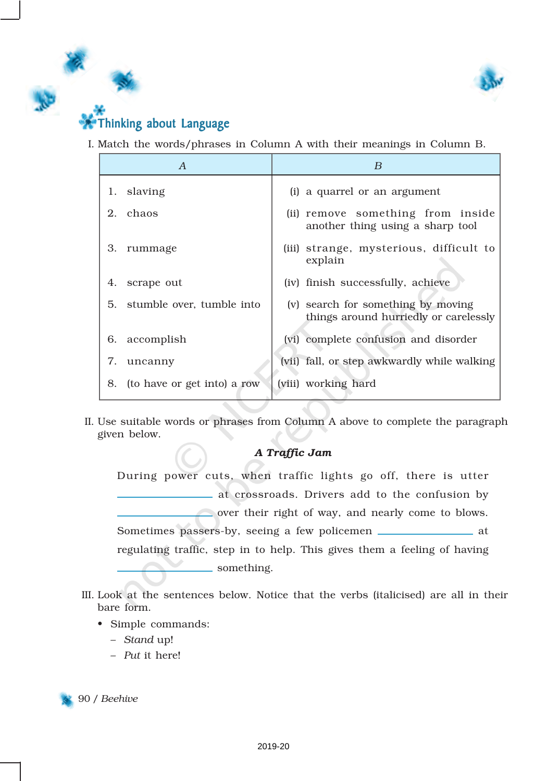

## Thinking about Language

I. Match the words/phrases in Column A with their meanings in Column B.

|    | A                           | B                                                                           |
|----|-----------------------------|-----------------------------------------------------------------------------|
| 1. | slaving                     | (i) a quarrel or an argument                                                |
| 2. | chaos                       | (ii) remove something from inside<br>another thing using a sharp tool       |
| З. | rummage                     | (iii) strange, mysterious, difficult to<br>explain                          |
| 4. | scrape out                  | (iv) finish successfully, achieve                                           |
| 5. | stumble over, tumble into   | (v) search for something by moving<br>things around hurriedly or carelessly |
| 6. | accomplish                  | (vi) complete confusion and disorder                                        |
| 7. | uncanny                     | (vii) fall, or step awkwardly while walking                                 |
| 8. | (to have or get into) a row | (viii) working hard                                                         |

II. Use suitable words or phrases from Column A above to complete the paragraph given below.

#### *A Traffic Jam*

During power cuts, when traffic lights go off, there is utter at crossroads. Drivers add to the confusion by over their right of way, and nearly come to blows. Sometimes passers-by, seeing a few policemen \_\_\_\_\_\_\_\_\_\_\_\_\_\_ at regulating traffic, step in to help. This gives them a feeling of having something.

- III. Look at the sentences below. Notice that the verbs (italicised) are all in their bare form.
	- Simple commands:
		- *Stand* up!
		- *Put* it here!

90 / *Beehive*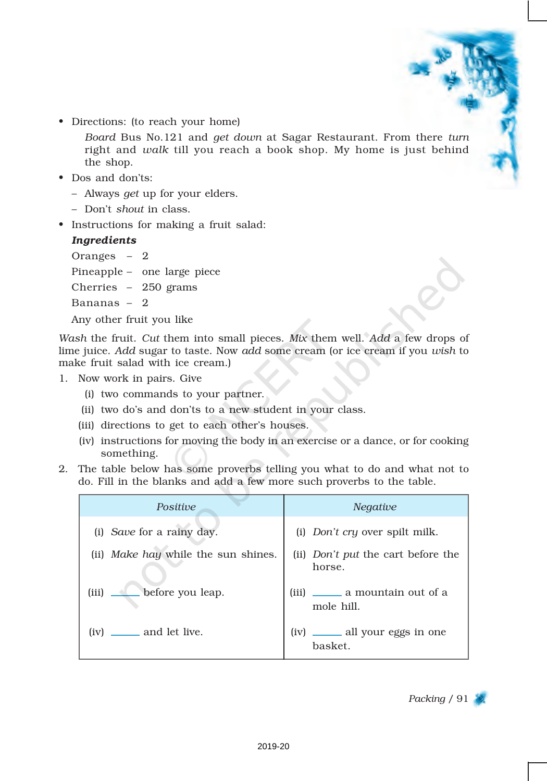• Directions: (to reach your home)

*Board* Bus No.121 and *get down* at Sagar Restaurant. From there *turn* right and *walk* till you reach a book shop. My home is just behind the shop.

- Dos and don'ts:
	- Always *get* up for your elders.
	- Don't *shout* in class.
- Instructions for making a fruit salad:

#### *Ingredients*

Oranges – 2 Pineapple – one large piece Cherries – 250 grams Bananas – 2 Any other fruit you like

*Wash* the fruit. *Cut* them into small pieces. *Mix* them well. *Add* a few drops of lime juice. *Add* sugar to taste. Now *add* some cream (or ice cream if you *wish* to make fruit salad with ice cream.)

- 1. Now work in pairs. Give
	- (i) two commands to your partner.
	- (ii) two do's and don'ts to a new student in your class.
	- (iii) directions to get to each other's houses.
	- (iv) instructions for moving the body in an exercise or a dance, or for cooking something.
- 2. The table below has some proverbs telling you what to do and what not to do. Fill in the blanks and add a few more such proverbs to the table.

| Positive                            | <i>Negative</i>                                     |
|-------------------------------------|-----------------------------------------------------|
| (i) Save for a rainy day.           | (i) <i>Don't cry</i> over spilt milk.               |
| (ii) Make hay while the sun shines. | (ii) <i>Don't put</i> the cart before the<br>horse. |
| before you leap.<br>(iii)           | (iii) ________ a mountain out of a<br>mole hill.    |
| $(iv) \_\_$ and let live.           | (iv) _______ all your eggs in one<br>basket.        |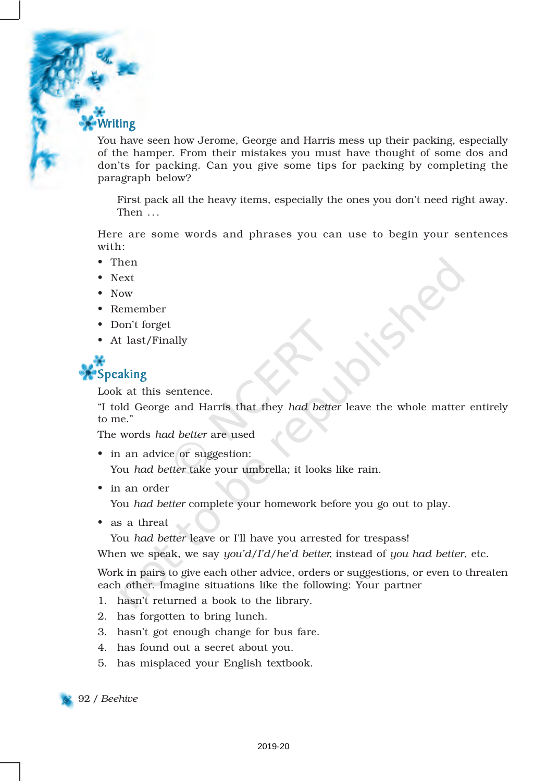Writing

You have seen how Jerome, George and Harris mess up their packing, especially of the hamper. From their mistakes you must have thought of some dos and don'ts for packing. Can you give some tips for packing by completing the paragraph below?

First pack all the heavy items, especially the ones you don't need right away. Then ...

Here are some words and phrases you can use to begin your sentences with:

- Then
- Next
- Now
- Remember
- Don't forget
- At last/Finally



Look at this sentence.

"I told George and Harris that they *had better* leave the whole matter entirely to me."

The words *had better* are used

- in an advice or suggestion: You *had better* take your umbrella; it looks like rain.
- in an order

You *had better* complete your homework before you go out to play.

• as a threat

You *had better* leave or I'll have you arrested for trespass!

When we speak, we say *you'd/I'd/he'd better,* instead of *you had better*, etc.

Work in pairs to give each other advice, orders or suggestions, or even to threaten each other. Imagine situations like the following: Your partner

- 1. hasn't returned a book to the library.
- 2. has forgotten to bring lunch.
- 3. hasn't got enough change for bus fare.
- 4. has found out a secret about you.
- 5. has misplaced your English textbook.



92 / *Beehive*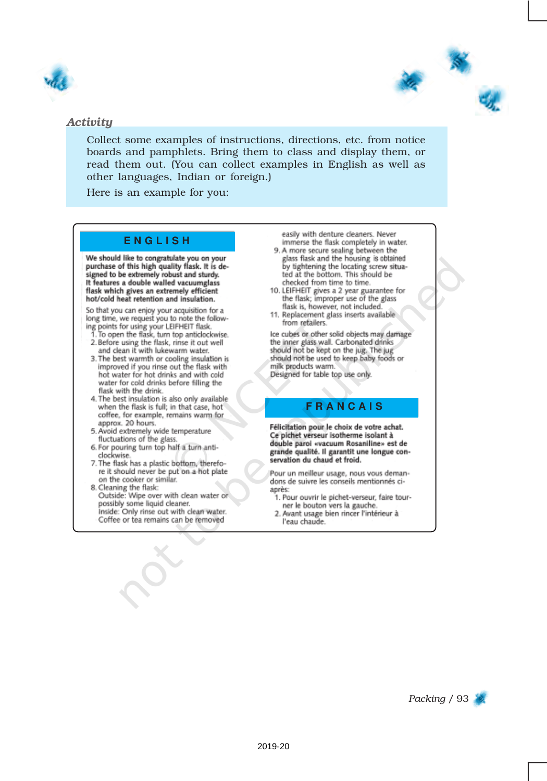



#### *Activity*

Collect some examples of instructions, directions, etc. from notice boards and pamphlets. Bring them to class and display them, or read them out. (You can collect examples in English as well as other languages, Indian or foreign.)

Here is an example for you:

#### **E N G L I S H**

We should like to congratulate you on your purchase of this high quality flask. It is designed to be extremely robust and sturdy. It features a double walled vacuumglass flask which gives an extremely efficient hot/cold heat retention and insulation.

So that you can enjoy your acquisition for a So una you can enjoy your acquisition<br>Ing points for using your LEIFHEIT flask.<br>The open the flask, turn top anticlockwise.<br>The open the flask, turn top anticlockwise.<br>The flask, insert is out well

- and clean it with lukewarm water.
- 3. The best warmth or cooling insulation is improved if you rinse out the flask with hot water for hot drinks and with cold water for cold drinks before filling the flask with the drink.
- 4. The best insulation is also only available when the flask is full; in that case, hot coffee, for example, remains warm for approx. 20 hours.
- 5. Avoid extremely wide temperature fluctuations of the glass.
- 6. For pouring turn top half a turn anticlockwise.
- 7. The flask has a plastic bottom, therefore it should never be put on a hot plate on the cooker or similar.
- 8. Cleaning the flask: Outside: Wipe over with clean water or possibly some liquid cleaner. Inside: Only rinse out with clean water. Coffee or tea remains can be removed

easily with denture cleaners. Never immerse the flask completely in water.

- 9. A more secure sealing between the glass flask and the housing is obtained by tightening the locating screw situa-<br>ted at the bottom. This should be checked from time to time.
- 10. LEIFHEIT gives a 2 year guarantee for the flask; improper use of the glass flask is, however, not included.
- 11. Replacement glass inserts available from retailers.

Ice cubes or other solid objects may damage the inner glass wall. Carbonated drinks should not be kept on the jug. The jug should not be used to keep baby foods or milk products warm. Designed for table top use only.

#### **F R A N C A I S**

Félicitation pour le choix de votre achat. Ce pichet verseur isotherme isolant à double paroi «vacuum Rosaniline» est de grande qualité. Il garantit une longue conservation du chaud et froid.

Pour un meilleur usage, nous vous demandons de suivre les conseils mentionnés ciaprès:

- 1. Pour ouvrir le pichet-verseur, faire tourner le bouton vers la gauche.
- 2. Avant usage bien rincer l'intérieur à l'eau chaude.

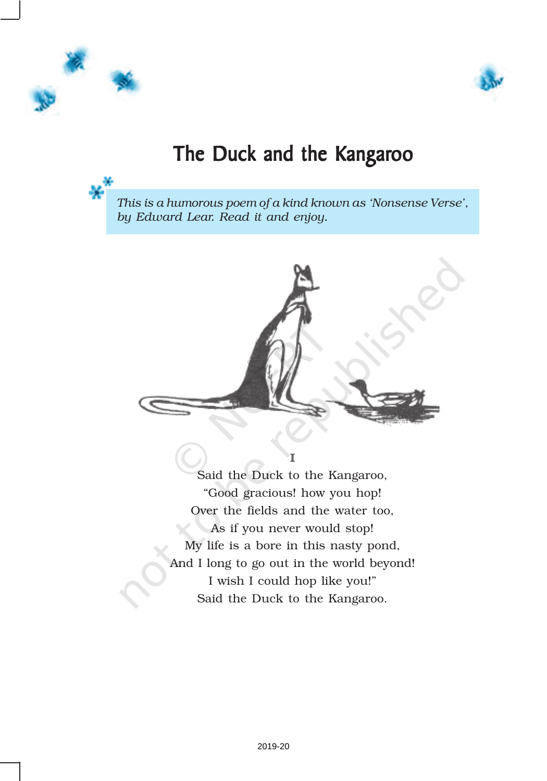



# The Duck and the Kangaroo

*This is a humorous poem of a kind known as 'Nonsense Verse', by Edward Lear. Read it and enjoy.*



Said the Duck to the Kangaroo, "Good gracious! how you hop! Over the fields and the water too, As if you never would stop! My life is a bore in this nasty pond, And I long to go out in the world beyond! I wish I could hop like you!" Said the Duck to the Kangaroo.

I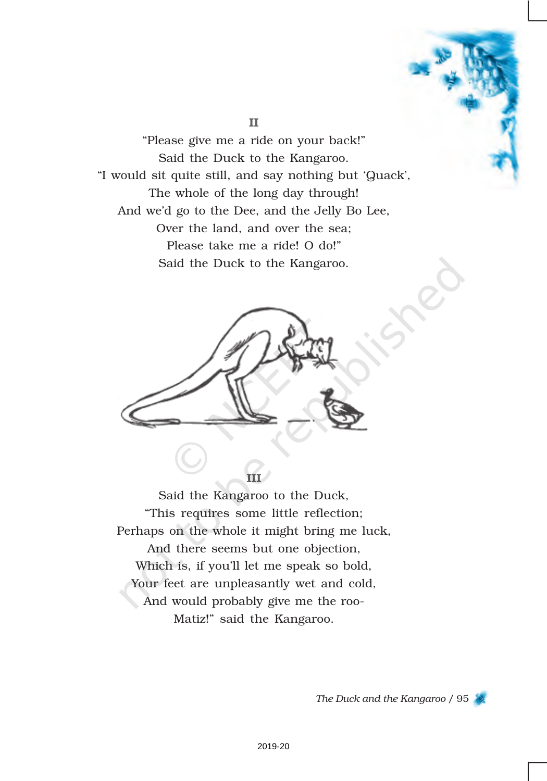"Please give me a ride on your back!" Said the Duck to the Kangaroo. "I would sit quite still, and say nothing but 'Quack', The whole of the long day through! And we'd go to the Dee, and the Jelly Bo Lee, Over the land, and over the sea; Please take me a ride! O do!" Said the Duck to the Kangaroo.

II



Said the Kangaroo to the Duck, "This requires some little reflection; Perhaps on the whole it might bring me luck, And there seems but one objection, Which is, if you'll let me speak so bold, Your feet are unpleasantly wet and cold, And would probably give me the roo-Matiz!" said the Kangaroo.

*The Duck and the Kangaroo* / 95